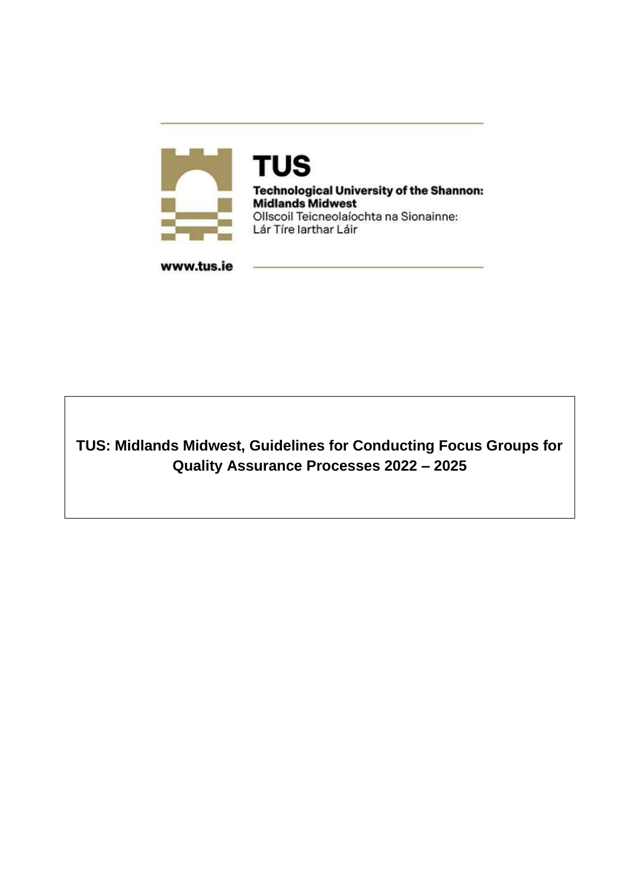

**TUS Technological University of the Shannon: Midlands Midwest** Ollscoil Teicneolaíochta na Sionainne: Lár Tíre larthar Láir

www.tus.ie

**TUS: Midlands Midwest, Guidelines for Conducting Focus Groups for Quality Assurance Processes 2022 – 2025**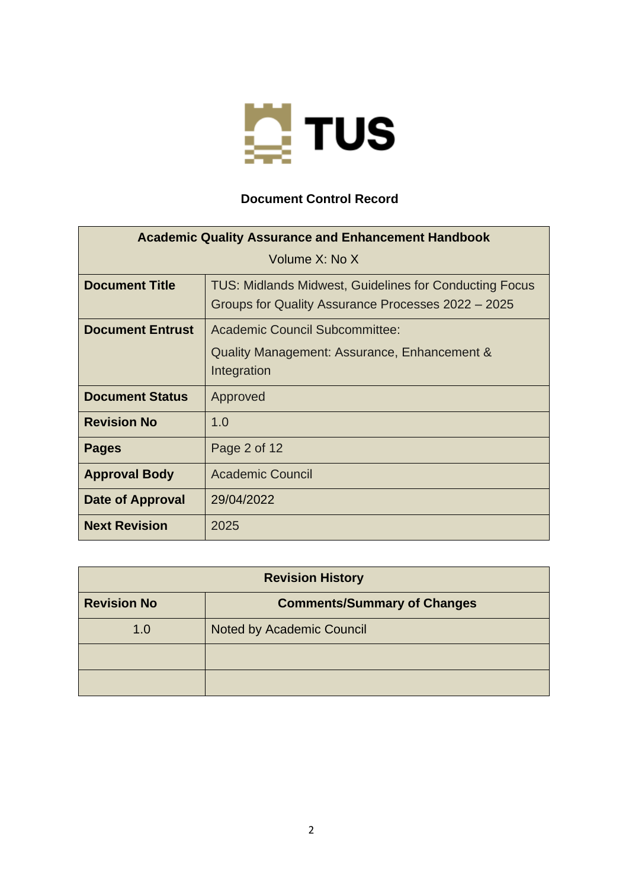

## **Document Control Record**

| <b>Academic Quality Assurance and Enhancement Handbook</b> |                                                                                                                     |
|------------------------------------------------------------|---------------------------------------------------------------------------------------------------------------------|
|                                                            | Volume X: No X                                                                                                      |
| <b>Document Title</b>                                      | <b>TUS: Midlands Midwest, Guidelines for Conducting Focus</b><br>Groups for Quality Assurance Processes 2022 – 2025 |
| <b>Document Entrust</b>                                    | Academic Council Subcommittee:                                                                                      |
|                                                            | Quality Management: Assurance, Enhancement &                                                                        |
|                                                            | Integration                                                                                                         |
| <b>Document Status</b>                                     | Approved                                                                                                            |
| <b>Revision No</b>                                         | 1.0                                                                                                                 |
| <b>Pages</b>                                               | Page 2 of 12                                                                                                        |
| <b>Approval Body</b>                                       | <b>Academic Council</b>                                                                                             |
| Date of Approval                                           | 29/04/2022                                                                                                          |
| <b>Next Revision</b>                                       | 2025                                                                                                                |

| <b>Revision History</b> |                                    |
|-------------------------|------------------------------------|
| <b>Revision No</b>      | <b>Comments/Summary of Changes</b> |
| 1.0                     | <b>Noted by Academic Council</b>   |
|                         |                                    |
|                         |                                    |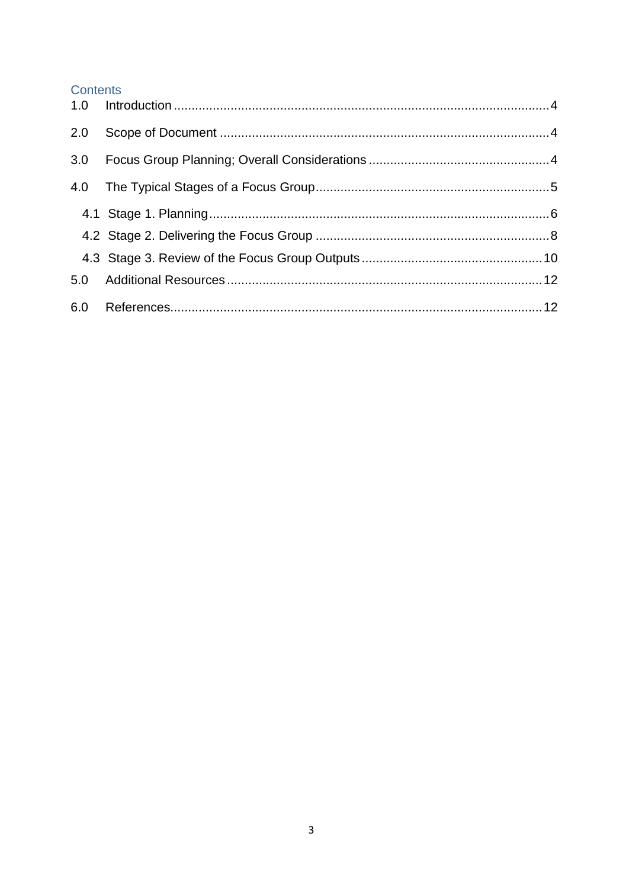### Contents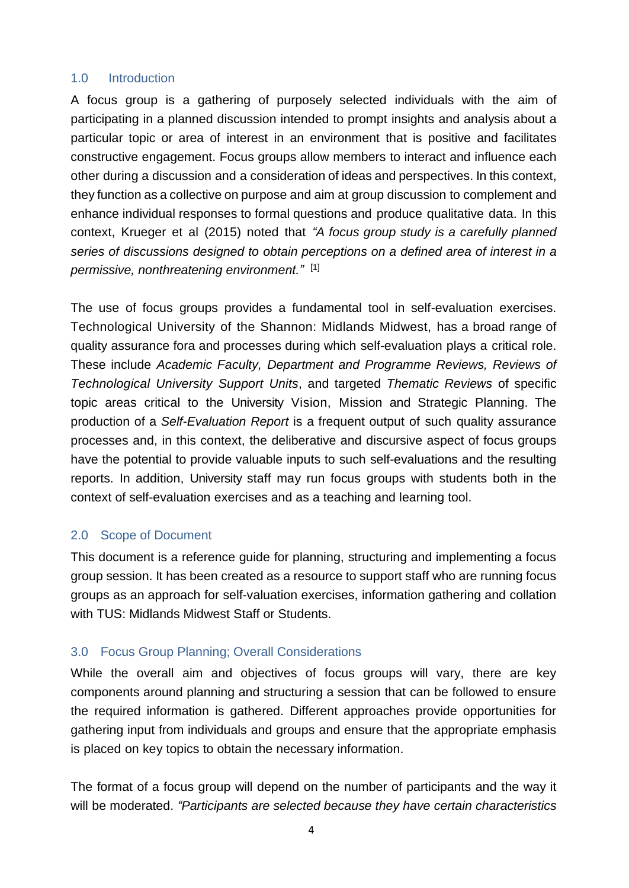#### <span id="page-3-0"></span>1.0 Introduction

A focus group is a gathering of purposely selected individuals with the aim of participating in a planned discussion intended to prompt insights and analysis about a particular topic or area of interest in an environment that is positive and facilitates constructive engagement. Focus groups allow members to interact and influence each other during a discussion and a consideration of ideas and perspectives. In this context, they function as a collective on purpose and aim at group discussion to complement and enhance individual responses to formal questions and produce qualitative data. In this context, Krueger et al (2015) noted that *"A focus group study is a carefully planned series of discussions designed to obtain perceptions on a defined area of interest in a permissive, nonthreatening environment."* [1]

The use of focus groups provides a fundamental tool in self-evaluation exercises. Technological University of the Shannon: Midlands Midwest, has a broad range of quality assurance fora and processes during which self-evaluation plays a critical role. These include *Academic Faculty, Department and Programme Reviews, Reviews of Technological University Support Units*, and targeted *Thematic Reviews* of specific topic areas critical to the University Vision, Mission and Strategic Planning. The production of a *Self-Evaluation Report* is a frequent output of such quality assurance processes and, in this context, the deliberative and discursive aspect of focus groups have the potential to provide valuable inputs to such self-evaluations and the resulting reports. In addition, University staff may run focus groups with students both in the context of self-evaluation exercises and as a teaching and learning tool.

### <span id="page-3-1"></span>2.0 Scope of Document

This document is a reference guide for planning, structuring and implementing a focus group session. It has been created as a resource to support staff who are running focus groups as an approach for self-valuation exercises, information gathering and collation with TUS: Midlands Midwest Staff or Students.

### <span id="page-3-2"></span>3.0 Focus Group Planning; Overall Considerations

While the overall aim and objectives of focus groups will vary, there are key components around planning and structuring a session that can be followed to ensure the required information is gathered. Different approaches provide opportunities for gathering input from individuals and groups and ensure that the appropriate emphasis is placed on key topics to obtain the necessary information.

The format of a focus group will depend on the number of participants and the way it will be moderated. *"Participants are selected because they have certain characteristics*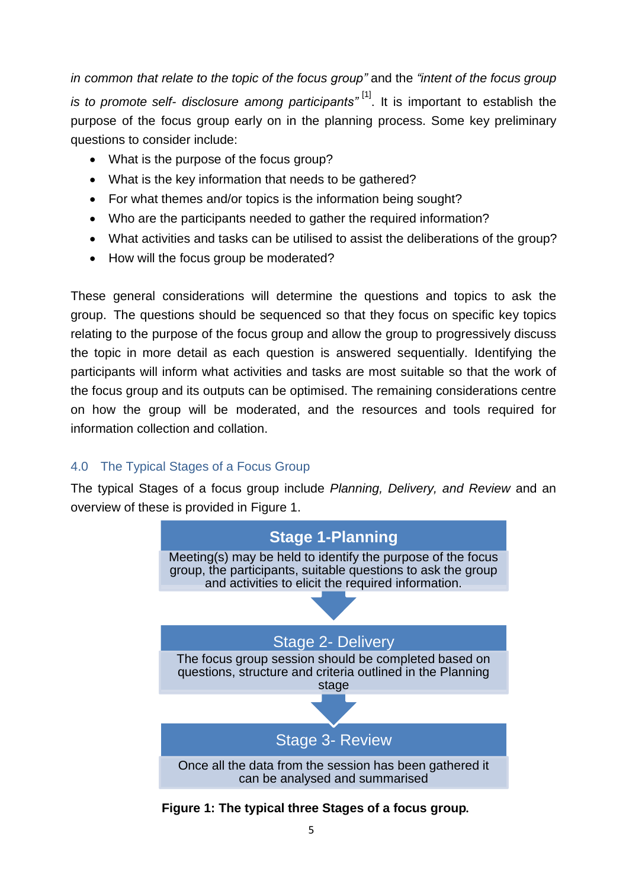*in common that relate to the topic of the focus group"* and the *"intent of the focus group is to promote self- disclosure among participants"* [1] . It is important to establish the purpose of the focus group early on in the planning process. Some key preliminary questions to consider include:

- What is the purpose of the focus group?
- What is the key information that needs to be gathered?
- For what themes and/or topics is the information being sought?
- Who are the participants needed to gather the required information?
- What activities and tasks can be utilised to assist the deliberations of the group?
- How will the focus group be moderated?

These general considerations will determine the questions and topics to ask the group. The questions should be sequenced so that they focus on specific key topics relating to the purpose of the focus group and allow the group to progressively discuss the topic in more detail as each question is answered sequentially. Identifying the participants will inform what activities and tasks are most suitable so that the work of the focus group and its outputs can be optimised. The remaining considerations centre on how the group will be moderated, and the resources and tools required for information collection and collation.

## <span id="page-4-0"></span>4.0 The Typical Stages of a Focus Group

The typical Stages of a focus group include *Planning, Delivery, and Review* and an overview of these is provided in Figure 1.



**Figure 1: The typical three Stages of a focus group***.*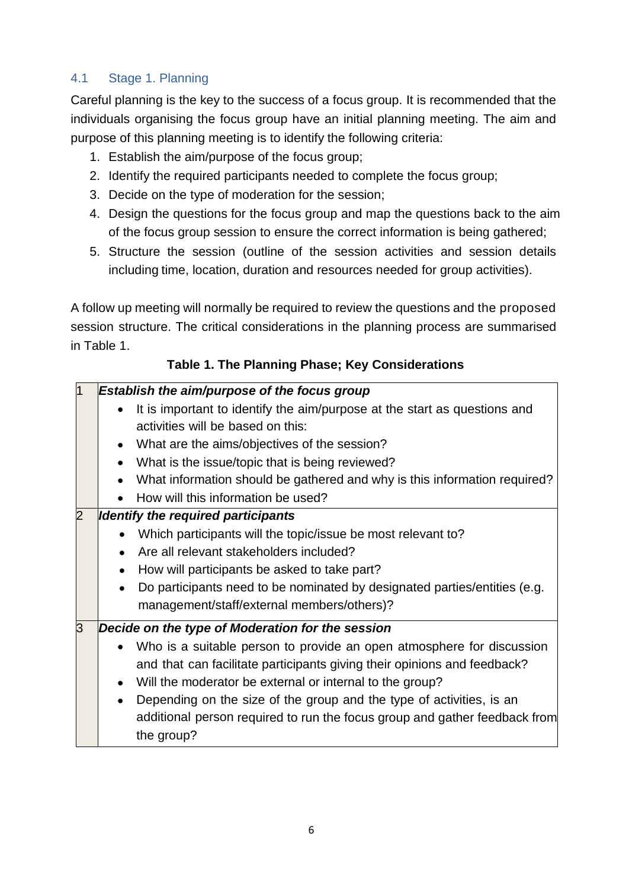## <span id="page-5-0"></span>4.1 Stage 1. Planning

Careful planning is the key to the success of a focus group. It is recommended that the individuals organising the focus group have an initial planning meeting. The aim and purpose of this planning meeting is to identify the following criteria:

- 1. Establish the aim/purpose of the focus group;
- 2. Identify the required participants needed to complete the focus group;
- 3. Decide on the type of moderation for the session;
- 4. Design the questions for the focus group and map the questions back to the aim of the focus group session to ensure the correct information is being gathered;
- 5. Structure the session (outline of the session activities and session details including time, location, duration and resources needed for group activities).

A follow up meeting will normally be required to review the questions and the proposed session structure. The critical considerations in the planning process are summarised in Table 1.

## **Table 1. The Planning Phase; Key Considerations**

| $\overline{1}$ | Establish the aim/purpose of the focus group                                           |
|----------------|----------------------------------------------------------------------------------------|
|                | It is important to identify the aim/purpose at the start as questions and              |
|                | activities will be based on this:                                                      |
|                | What are the aims/objectives of the session?                                           |
|                | What is the issue/topic that is being reviewed?                                        |
|                | What information should be gathered and why is this information required?              |
|                | How will this information be used?                                                     |
| $\overline{2}$ | <b>Identify the required participants</b>                                              |
|                | Which participants will the topic/issue be most relevant to?                           |
|                | Are all relevant stakeholders included?                                                |
|                | How will participants be asked to take part?                                           |
|                | Do participants need to be nominated by designated parties/entities (e.g.<br>$\bullet$ |
|                | management/staff/external members/others)?                                             |
| 3              | Decide on the type of Moderation for the session                                       |
|                | Who is a suitable person to provide an open atmosphere for discussion                  |
|                | and that can facilitate participants giving their opinions and feedback?               |
|                | Will the moderator be external or internal to the group?                               |
|                | Depending on the size of the group and the type of activities, is an                   |
|                | additional person required to run the focus group and gather feedback from             |
|                | the group?                                                                             |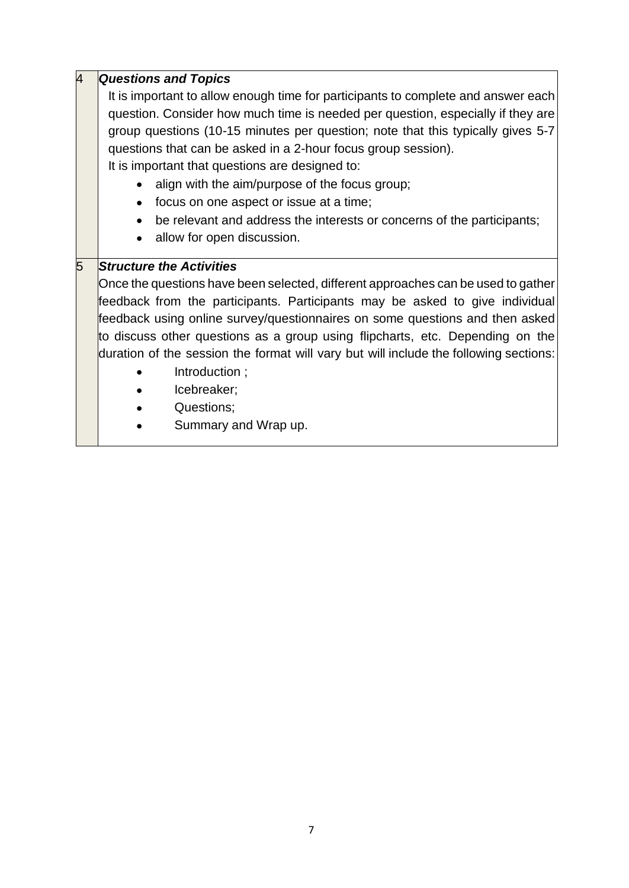| $\overline{4}$ | <b>Questions and Topics</b>                                                           |
|----------------|---------------------------------------------------------------------------------------|
|                | It is important to allow enough time for participants to complete and answer each     |
|                | question. Consider how much time is needed per question, especially if they are       |
|                | group questions (10-15 minutes per question; note that this typically gives 5-7       |
|                | questions that can be asked in a 2-hour focus group session).                         |
|                | It is important that questions are designed to:                                       |
|                | align with the aim/purpose of the focus group;                                        |
|                | focus on one aspect or issue at a time;<br>$\bullet$                                  |
|                | be relevant and address the interests or concerns of the participants;                |
|                | allow for open discussion.                                                            |
| 5              | <b>Structure the Activities</b>                                                       |
|                | Once the questions have been selected, different approaches can be used to gather     |
|                | feedback from the participants. Participants may be asked to give individual          |
|                | feedback using online survey/questionnaires on some questions and then asked          |
|                | to discuss other questions as a group using flipcharts, etc. Depending on the         |
|                | duration of the session the format will vary but will include the following sections: |
|                | Introduction;                                                                         |
|                | Icebreaker;                                                                           |
|                | Questions;                                                                            |
|                | Summary and Wrap up.                                                                  |
|                |                                                                                       |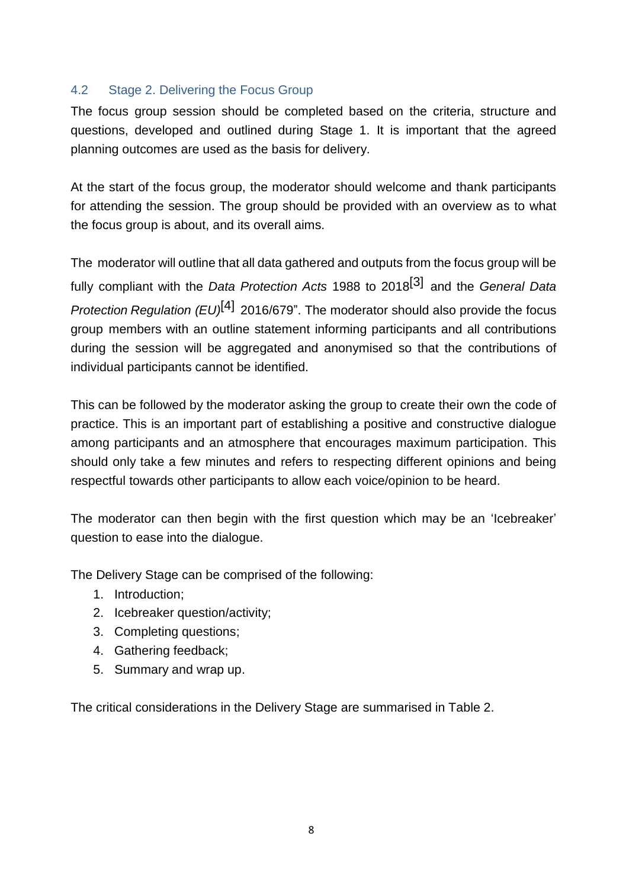### <span id="page-7-0"></span>4.2 Stage 2. Delivering the Focus Group

The focus group session should be completed based on the criteria, structure and questions, developed and outlined during Stage 1. It is important that the agreed planning outcomes are used as the basis for delivery.

At the start of the focus group, the moderator should welcome and thank participants for attending the session. The group should be provided with an overview as to what the focus group is about, and its overall aims.

The moderator will outline that all data gathered and outputs from the focus group will be fully compliant with the *Data Protection Acts* 1988 to 2018 [3] and the *General Data Protection Regulation (EU)* [4] 2016/679". The moderator should also provide the focus group members with an outline statement informing participants and all contributions during the session will be aggregated and anonymised so that the contributions of individual participants cannot be identified.

This can be followed by the moderator asking the group to create their own the code of practice. This is an important part of establishing a positive and constructive dialogue among participants and an atmosphere that encourages maximum participation. This should only take a few minutes and refers to respecting different opinions and being respectful towards other participants to allow each voice/opinion to be heard.

The moderator can then begin with the first question which may be an 'Icebreaker' question to ease into the dialogue.

The Delivery Stage can be comprised of the following:

- 1. Introduction;
- 2. Icebreaker question/activity;
- 3. Completing questions;
- 4. Gathering feedback;
- 5. Summary and wrap up.

The critical considerations in the Delivery Stage are summarised in Table 2.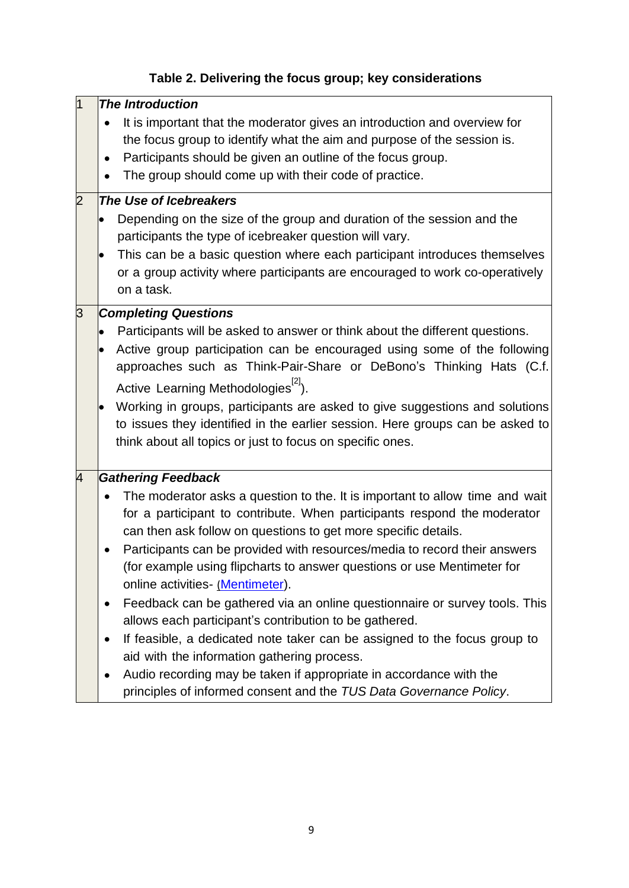| 11<br>$\overline{2}$ | <b>The Introduction</b><br>It is important that the moderator gives an introduction and overview for<br>the focus group to identify what the aim and purpose of the session is.<br>Participants should be given an outline of the focus group.<br>The group should come up with their code of practice.<br>The Use of Icebreakers<br>Depending on the size of the group and duration of the session and the<br>participants the type of icebreaker question will vary.<br>This can be a basic question where each participant introduces themselves<br>or a group activity where participants are encouraged to work co-operatively<br>on a task.                                                                                                                                                                                                            |
|----------------------|--------------------------------------------------------------------------------------------------------------------------------------------------------------------------------------------------------------------------------------------------------------------------------------------------------------------------------------------------------------------------------------------------------------------------------------------------------------------------------------------------------------------------------------------------------------------------------------------------------------------------------------------------------------------------------------------------------------------------------------------------------------------------------------------------------------------------------------------------------------|
| 3                    | <b>Completing Questions</b><br>Participants will be asked to answer or think about the different questions.<br>Active group participation can be encouraged using some of the following<br>approaches such as Think-Pair-Share or DeBono's Thinking Hats (C.f.<br>Active Learning Methodologies <sup>[2]</sup> ).<br>Working in groups, participants are asked to give suggestions and solutions<br>to issues they identified in the earlier session. Here groups can be asked to<br>think about all topics or just to focus on specific ones.                                                                                                                                                                                                                                                                                                               |
| 4                    | Gathering Feedback<br>The moderator asks a question to the. It is important to allow time and wait<br>for a participant to contribute. When participants respond the moderator<br>can then ask follow on questions to get more specific details.<br>Participants can be provided with resources/media to record their answers<br>(for example using flipcharts to answer questions or use Mentimeter for<br>online activities- (Mentimeter).<br>Feedback can be gathered via an online questionnaire or survey tools. This<br>allows each participant's contribution to be gathered.<br>If feasible, a dedicated note taker can be assigned to the focus group to<br>aid with the information gathering process.<br>Audio recording may be taken if appropriate in accordance with the<br>principles of informed consent and the TUS Data Governance Policy. |

# **Table 2. Delivering the focus group; key considerations**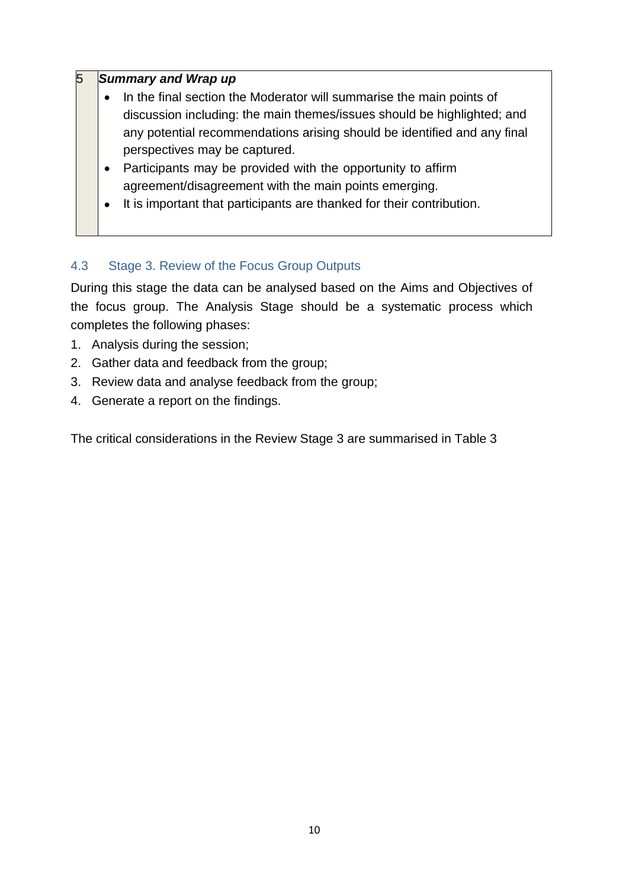### 5 *Summary and Wrap up*

- In the final section the Moderator will summarise the main points of discussion including: the main themes/issues should be highlighted; and any potential recommendations arising should be identified and any final perspectives may be captured.
- Participants may be provided with the opportunity to affirm agreement/disagreement with the main points emerging.
- It is important that participants are thanked for their contribution.

## <span id="page-9-0"></span>4.3 Stage 3. Review of the Focus Group Outputs

During this stage the data can be analysed based on the Aims and Objectives of the focus group. The Analysis Stage should be a systematic process which completes the following phases:

- 1. Analysis during the session;
- 2. Gather data and feedback from the group;
- 3. Review data and analyse feedback from the group;
- 4. Generate a report on the findings.

The critical considerations in the Review Stage 3 are summarised in Table 3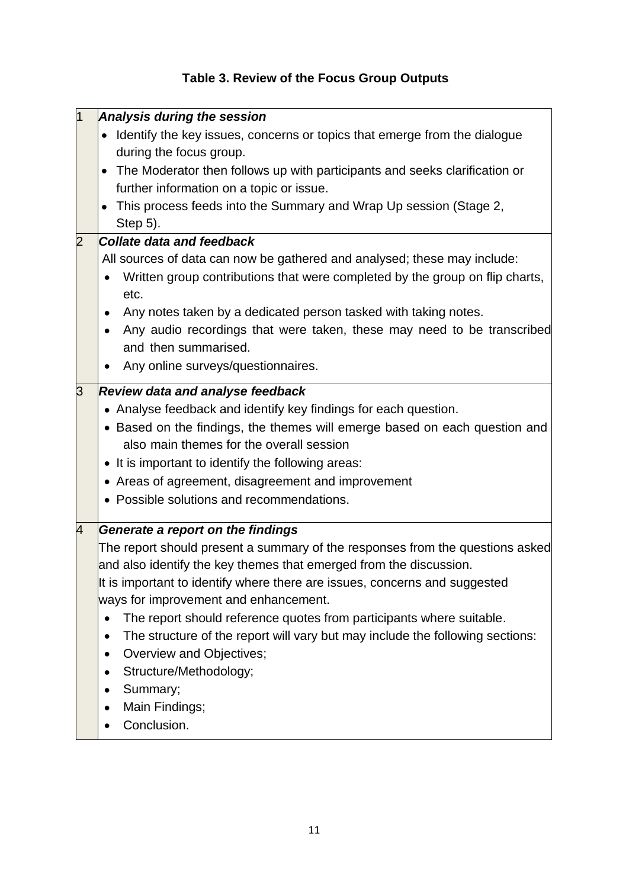# **Table 3. Review of the Focus Group Outputs**

|   | Analysis during the session                                                                |
|---|--------------------------------------------------------------------------------------------|
|   | Identify the key issues, concerns or topics that emerge from the dialogue                  |
|   | during the focus group.                                                                    |
|   | • The Moderator then follows up with participants and seeks clarification or               |
|   | further information on a topic or issue.                                                   |
|   | This process feeds into the Summary and Wrap Up session (Stage 2,                          |
|   | Step 5).                                                                                   |
|   | <b>Collate data and feedback</b>                                                           |
|   | All sources of data can now be gathered and analysed; these may include:                   |
|   | Written group contributions that were completed by the group on flip charts,<br>etc.       |
|   | Any notes taken by a dedicated person tasked with taking notes.<br>٠                       |
|   | Any audio recordings that were taken, these may need to be transcribed                     |
|   | and then summarised.                                                                       |
|   | Any online surveys/questionnaires.                                                         |
| З | <b>Review data and analyse feedback</b>                                                    |
|   | • Analyse feedback and identify key findings for each question.                            |
|   | • Based on the findings, the themes will emerge based on each question and                 |
|   | also main themes for the overall session                                                   |
|   | • It is important to identify the following areas:                                         |
|   | • Areas of agreement, disagreement and improvement                                         |
|   | • Possible solutions and recommendations.                                                  |
| 4 | Generate a report on the findings                                                          |
|   | The report should present a summary of the responses from the questions asked              |
|   | and also identify the key themes that emerged from the discussion.                         |
|   | It is important to identify where there are issues, concerns and suggested                 |
|   | ways for improvement and enhancement.                                                      |
|   | The report should reference quotes from participants where suitable.                       |
|   | The structure of the report will vary but may include the following sections:<br>$\bullet$ |
|   | Overview and Objectives;<br>$\bullet$                                                      |
|   | Structure/Methodology;<br>٠                                                                |
|   | Summary;<br>$\bullet$                                                                      |
|   | Main Findings;                                                                             |
|   | Conclusion.                                                                                |